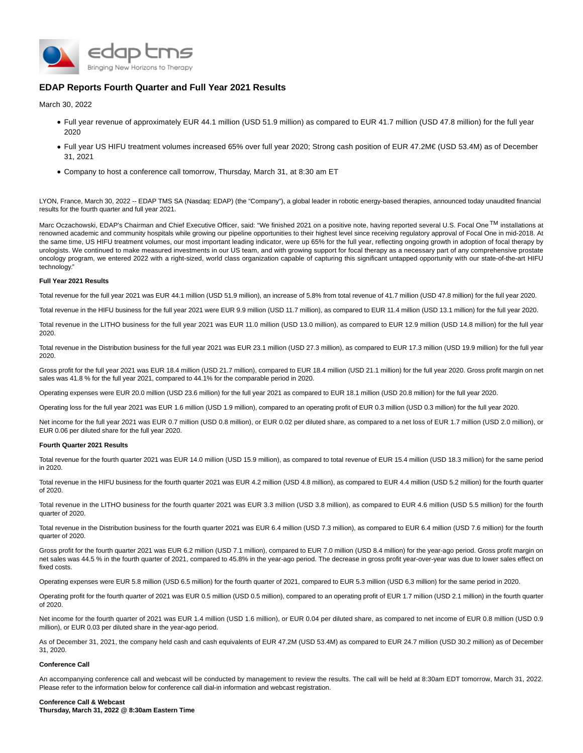

# **EDAP Reports Fourth Quarter and Full Year 2021 Results**

March 30, 2022

- Full year revenue of approximately EUR 44.1 million (USD 51.9 million) as compared to EUR 41.7 million (USD 47.8 million) for the full year 2020
- Full year US HIFU treatment volumes increased 65% over full year 2020; Strong cash position of EUR 47.2M€ (USD 53.4M) as of December 31, 2021
- Company to host a conference call tomorrow, Thursday, March 31, at 8:30 am ET

LYON, France, March 30, 2022 -- EDAP TMS SA (Nasdaq: EDAP) (the "Company"), a global leader in robotic energy-based therapies, announced today unaudited financial results for the fourth quarter and full year 2021.

Marc Oczachowski, EDAP's Chairman and Chief Executive Officer, said: "We finished 2021 on a positive note, having reported several U.S. Focal One<sup>TM</sup> installations at renowned academic and community hospitals while growing our pipeline opportunities to their highest level since receiving regulatory approval of Focal One in mid-2018. At the same time, US HIFU treatment volumes, our most important leading indicator, were up 65% for the full year, reflecting ongoing growth in adoption of focal therapy by urologists. We continued to make measured investments in our US team, and with growing support for focal therapy as a necessary part of any comprehensive prostate oncology program, we entered 2022 with a right-sized, world class organization capable of capturing this significant untapped opportunity with our state-of-the-art HIFU technology."

## **Full Year 2021 Results**

Total revenue for the full year 2021 was EUR 44.1 million (USD 51.9 million), an increase of 5.8% from total revenue of 41.7 million (USD 47.8 million) for the full year 2020.

Total revenue in the HIFU business for the full year 2021 were EUR 9.9 million (USD 11.7 million), as compared to EUR 11.4 million (USD 13.1 million) for the full year 2020.

Total revenue in the LITHO business for the full year 2021 was EUR 11.0 million (USD 13.0 million), as compared to EUR 12.9 million (USD 14.8 million) for the full year 2020.

Total revenue in the Distribution business for the full year 2021 was EUR 23.1 million (USD 27.3 million), as compared to EUR 17.3 million (USD 19.9 million) for the full year 2020.

Gross profit for the full year 2021 was EUR 18.4 million (USD 21.7 million), compared to EUR 18.4 million (USD 21.1 million) for the full year 2020. Gross profit margin on net sales was 41.8 % for the full year 2021, compared to 44.1% for the comparable period in 2020.

Operating expenses were EUR 20.0 million (USD 23.6 million) for the full year 2021 as compared to EUR 18.1 million (USD 20.8 million) for the full year 2020.

Operating loss for the full year 2021 was EUR 1.6 million (USD 1.9 million), compared to an operating profit of EUR 0.3 million (USD 0.3 million) for the full year 2020.

Net income for the full year 2021 was EUR 0.7 million (USD 0.8 million), or EUR 0.02 per diluted share, as compared to a net loss of EUR 1.7 million (USD 2.0 million), or EUR 0.06 per diluted share for the full year 2020.

## **Fourth Quarter 2021 Results**

Total revenue for the fourth quarter 2021 was EUR 14.0 million (USD 15.9 million), as compared to total revenue of EUR 15.4 million (USD 18.3 million) for the same period in 2020.

Total revenue in the HIFU business for the fourth quarter 2021 was EUR 4.2 million (USD 4.8 million), as compared to EUR 4.4 million (USD 5.2 million) for the fourth quarter of 2020.

Total revenue in the LITHO business for the fourth quarter 2021 was EUR 3.3 million (USD 3.8 million), as compared to EUR 4.6 million (USD 5.5 million) for the fourth quarter of 2020.

Total revenue in the Distribution business for the fourth quarter 2021 was EUR 6.4 million (USD 7.3 million), as compared to EUR 6.4 million (USD 7.6 million) for the fourth quarter of 2020.

Gross profit for the fourth quarter 2021 was EUR 6.2 million (USD 7.1 million), compared to EUR 7.0 million (USD 8.4 million) for the year-ago period. Gross profit margin on net sales was 44.5 % in the fourth quarter of 2021, compared to 45.8% in the year-ago period. The decrease in gross profit year-over-year was due to lower sales effect on fixed costs

Operating expenses were EUR 5.8 million (USD 6.5 million) for the fourth quarter of 2021, compared to EUR 5.3 million (USD 6.3 million) for the same period in 2020.

Operating profit for the fourth quarter of 2021 was EUR 0.5 million (USD 0.5 million), compared to an operating profit of EUR 1.7 million (USD 2.1 million) in the fourth quarter of 2020.

Net income for the fourth quarter of 2021 was EUR 1.4 million (USD 1.6 million), or EUR 0.04 per diluted share, as compared to net income of EUR 0.8 million (USD 0.9 million), or EUR 0.03 per diluted share in the year-ago period.

As of December 31, 2021, the company held cash and cash equivalents of EUR 47.2M (USD 53.4M) as compared to EUR 24.7 million (USD 30.2 million) as of December 31, 2020.

#### **Conference Call**

An accompanying conference call and webcast will be conducted by management to review the results. The call will be held at 8:30am EDT tomorrow, March 31, 2022. Please refer to the information below for conference call dial-in information and webcast registration.

# **Conference Call & Webcast**

**Thursday, March 31, 2022 @ 8:30am Eastern Time**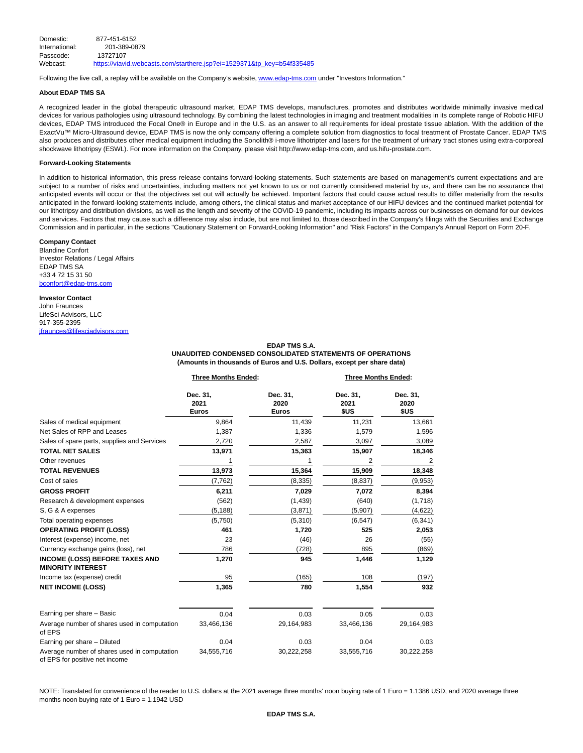| Domestic:      | 877-451-6152                                                           |
|----------------|------------------------------------------------------------------------|
| International: | 201-389-0879                                                           |
| Passcode:      | 13727107                                                               |
| Webcast:       | https://viavid.webcasts.com/starthere.jsp?ei=1529371&tp_key=b54f335485 |

Following the live call, a replay will be available on the Company's website, [www.edap-tms.com u](https://www.globenewswire.com/Tracker?data=fT_6sV3vxqz6_ZO4jMoC-Y9OuyUl--qVKyBSPKeIE2io-N9DoB05mrzY9MuKsVWL_jGXzxZt5bWsyI3YxjUQF8zJE_A2ucEo6WRbPsurKfMb_vVaq0GouCw-FLXr7NeK)nder "Investors Information."

# **About EDAP TMS SA**

A recognized leader in the global therapeutic ultrasound market, EDAP TMS develops, manufactures, promotes and distributes worldwide minimally invasive medical devices for various pathologies using ultrasound technology. By combining the latest technologies in imaging and treatment modalities in its complete range of Robotic HIFU devices, EDAP TMS introduced the Focal One® in Europe and in the U.S. as an answer to all requirements for ideal prostate tissue ablation. With the addition of the ExactVu™ Micro-Ultrasound device, EDAP TMS is now the only company offering a complete solution from diagnostics to focal treatment of Prostate Cancer. EDAP TMS also produces and distributes other medical equipment including the Sonolith® i-move lithotripter and lasers for the treatment of urinary tract stones using extra-corporeal shockwave lithotripsy (ESWL). For more information on the Company, please visit http://www.edap-tms.com, and us.hifu-prostate.com.

## **Forward-Looking Statements**

In addition to historical information, this press release contains forward-looking statements. Such statements are based on management's current expectations and are subject to a number of risks and uncertainties, including matters not yet known to us or not currently considered material by us, and there can be no assurance that anticipated events will occur or that the objectives set out will actually be achieved. Important factors that could cause actual results to differ materially from the results anticipated in the forward-looking statements include, among others, the clinical status and market acceptance of our HIFU devices and the continued market potential for our lithotripsy and distribution divisions, as well as the length and severity of the COVID-19 pandemic, including its impacts across our businesses on demand for our devices and services. Factors that may cause such a difference may also include, but are not limited to, those described in the Company's filings with the Securities and Exchange Commission and in particular, in the sections "Cautionary Statement on Forward-Looking Information" and "Risk Factors" in the Company's Annual Report on Form 20-F.

#### **Company Contact**

Blandine Confort Investor Relations / Legal Affairs EDAP TMS SA +33 4 72 15 31 50 [bconfort@edap-tms.com](https://www.globenewswire.com/Tracker?data=aHpNhU25dkSZOSkWaBkk99mLnGv0YWVujj2BBoRV0yhHV2Qmktv4PdbZ_dCEYUnEwnW73dwudanjFcUOZIt6zt3TY7xyN1OcNcrSMUNoCNg=)

## **Investor Contact**

John Fraunces LifeSci Advisors, LLC 917-355-2395 [jfraunces@lifesciadvisors.com](https://www.globenewswire.com/Tracker?data=2ZkshduQUDquW3ob4dw24tGbe_mfbB6wEjDhdtYjCMHLEO4t4zrKhjViNE2oQyiLKQQTbc9pXYI3tZW4bErJ83cFNy8AuRfkGhRxFAJgWIseqlGO6JqUPLss0cR0Dk1_)

> **EDAP TMS S.A. UNAUDITED CONDENSED CONSOLIDATED STATEMENTS OF OPERATIONS (Amounts in thousands of Euros and U.S. Dollars, except per share data)**

|                                                                                | <b>Three Months Ended:</b>       |                                  | <b>Three Months Ended:</b> |                          |
|--------------------------------------------------------------------------------|----------------------------------|----------------------------------|----------------------------|--------------------------|
|                                                                                | Dec. 31,<br>2021<br><b>Euros</b> | Dec. 31,<br>2020<br><b>Euros</b> | Dec. 31,<br>2021<br>\$US   | Dec. 31,<br>2020<br>\$US |
| Sales of medical equipment                                                     | 9,864                            | 11,439                           | 11,231                     | 13,661                   |
| Net Sales of RPP and Leases                                                    | 1,387                            | 1,336                            | 1,579                      | 1,596                    |
| Sales of spare parts, supplies and Services                                    | 2,720                            | 2,587                            | 3,097                      | 3,089                    |
| <b>TOTAL NET SALES</b>                                                         | 13,971                           | 15,363                           | 15,907                     | 18,346                   |
| Other revenues                                                                 | 1                                | 1                                | 2                          | 2                        |
| <b>TOTAL REVENUES</b>                                                          | 13,973                           | 15,364                           | 15,909                     | 18,348                   |
| Cost of sales                                                                  | (7, 762)                         | (8, 335)                         | (8,837)                    | (9,953)                  |
| <b>GROSS PROFIT</b>                                                            | 6,211                            | 7,029                            | 7,072                      | 8,394                    |
| Research & development expenses                                                | (562)                            | (1, 439)                         | (640)                      | (1,718)                  |
| S, G & A expenses                                                              | (5, 188)                         | (3,871)                          | (5,907)                    | (4,622)                  |
| Total operating expenses                                                       | (5,750)                          | (5,310)                          | (6, 547)                   | (6, 341)                 |
| <b>OPERATING PROFIT (LOSS)</b>                                                 | 461                              | 1,720                            | 525                        | 2,053                    |
| Interest (expense) income, net                                                 | 23                               | (46)                             | 26                         | (55)                     |
| Currency exchange gains (loss), net                                            | 786                              | (728)                            | 895                        | (869)                    |
| <b>INCOME (LOSS) BEFORE TAXES AND</b><br><b>MINORITY INTEREST</b>              | 1,270                            | 945                              | 1,446                      | 1,129                    |
| Income tax (expense) credit                                                    | 95                               | (165)                            | 108                        | (197)                    |
| <b>NET INCOME (LOSS)</b>                                                       | 1,365                            | 780                              | 1,554                      | 932                      |
| Earning per share - Basic                                                      | 0.04                             | 0.03                             | 0.05                       | 0.03                     |
| Average number of shares used in computation<br>of EPS                         | 33,466,136                       | 29,164,983                       | 33,466,136                 | 29,164,983               |
| Earning per share - Diluted                                                    | 0.04                             | 0.03                             | 0.04                       | 0.03                     |
| Average number of shares used in computation<br>of EPS for positive net income | 34,555,716                       | 30,222,258                       | 33,555,716                 | 30,222,258               |

NOTE: Translated for convenience of the reader to U.S. dollars at the 2021 average three months' noon buying rate of 1 Euro = 1.1386 USD, and 2020 average three months noon buying rate of 1 Euro = 1.1942 USD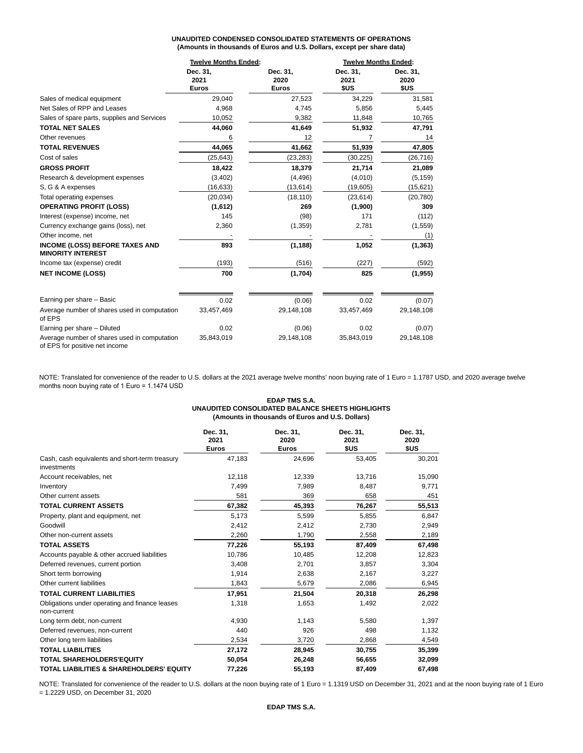# **UNAUDITED CONDENSED CONSOLIDATED STATEMENTS OF OPERATIONS (Amounts in thousands of Euros and U.S. Dollars, except per share data)**

|                                                                                | <b>Twelve Months Ended:</b>      |                                  | <b>Twelve Months Ended:</b> |                          |
|--------------------------------------------------------------------------------|----------------------------------|----------------------------------|-----------------------------|--------------------------|
|                                                                                | Dec. 31,<br>2021<br><b>Euros</b> | Dec. 31,<br>2020<br><b>Euros</b> | Dec. 31,<br>2021<br>\$US    | Dec. 31,<br>2020<br>\$US |
|                                                                                |                                  |                                  |                             |                          |
| Sales of medical equipment                                                     | 29,040                           | 27,523                           | 34,229                      | 31,581                   |
| Net Sales of RPP and Leases                                                    | 4,968                            | 4,745                            | 5,856                       | 5,445                    |
| Sales of spare parts, supplies and Services                                    | 10,052                           | 9,382                            | 11,848                      | 10,765                   |
| <b>TOTAL NET SALES</b>                                                         | 44,060                           | 41,649                           | 51,932                      | 47,791                   |
| Other revenues                                                                 | 6                                | 12                               | 7                           | 14                       |
| <b>TOTAL REVENUES</b>                                                          | 44,065                           | 41,662                           | 51,939                      | 47,805                   |
| Cost of sales                                                                  | (25, 643)                        | (23, 283)                        | (30, 225)                   | (26, 716)                |
| <b>GROSS PROFIT</b>                                                            | 18,422                           | 18,379                           | 21,714                      | 21,089                   |
| Research & development expenses                                                | (3,402)                          | (4, 496)                         | (4,010)                     | (5, 159)                 |
| S, G & A expenses                                                              | (16, 633)                        | (13, 614)                        | (19,605)                    | (15, 621)                |
| Total operating expenses                                                       | (20, 034)                        | (18, 110)                        | (23, 614)                   | (20, 780)                |
| <b>OPERATING PROFIT (LOSS)</b>                                                 | (1,612)                          | 269                              | (1,900)                     | 309                      |
| Interest (expense) income, net                                                 | 145                              | (98)                             | 171                         | (112)                    |
| Currency exchange gains (loss), net                                            | 2,360                            | (1,359)                          | 2,781                       | (1, 559)                 |
| Other income, net                                                              |                                  |                                  |                             | (1)                      |
| <b>INCOME (LOSS) BEFORE TAXES AND</b><br><b>MINORITY INTEREST</b>              | 893                              | (1, 188)                         | 1,052                       | (1, 363)                 |
| Income tax (expense) credit                                                    | (193)                            | (516)                            | (227)                       | (592)                    |
| <b>NET INCOME (LOSS)</b>                                                       | 700                              | (1,704)                          | 825                         | (1, 955)                 |
| Earning per share - Basic                                                      | 0.02                             | (0.06)                           | 0.02                        | (0.07)                   |
| Average number of shares used in computation<br>of EPS                         | 33,457,469                       | 29,148,108                       | 33,457,469                  | 29,148,108               |
| Earning per share - Diluted                                                    | 0.02                             | (0.06)                           | 0.02                        | (0.07)                   |
| Average number of shares used in computation<br>of EPS for positive net income | 35,843,019                       | 29,148,108                       | 35,843,019                  | 29,148,108               |

NOTE: Translated for convenience of the reader to U.S. dollars at the 2021 average twelve months' noon buying rate of 1 Euro = 1.1787 USD, and 2020 average twelve months noon buying rate of 1 Euro = 1.1474 USD

## **EDAP TMS S.A. UNAUDITED CONSOLIDATED BALANCE SHEETS HIGHLIGHTS (Amounts in thousands of Euros and U.S. Dollars)**

|                                                               | Dec. 31,<br>2021<br><b>Euros</b> | Dec. 31,<br>2020<br><b>Euros</b> | Dec. 31,<br>2021<br>\$US | Dec. 31,<br>2020<br>\$US |
|---------------------------------------------------------------|----------------------------------|----------------------------------|--------------------------|--------------------------|
| Cash, cash equivalents and short-term treasury<br>investments | 47,183                           | 24,696                           | 53,405                   | 30,201                   |
| Account receivables, net                                      | 12,118                           | 12,339                           | 13,716                   | 15,090                   |
| Inventory                                                     | 7,499                            | 7,989                            | 8,487                    | 9,771                    |
| Other current assets                                          | 581                              | 369                              | 658                      | 451                      |
| <b>TOTAL CURRENT ASSETS</b>                                   | 67,382                           | 45,393                           | 76,267                   | 55,513                   |
| Property, plant and equipment, net                            | 5,173                            | 5,599                            | 5,855                    | 6,847                    |
| Goodwill                                                      | 2,412                            | 2,412                            | 2,730                    | 2,949                    |
| Other non-current assets                                      | 2,260                            | 1,790                            | 2,558                    | 2,189                    |
| <b>TOTAL ASSETS</b>                                           | 77,226                           | 55,193                           | 87,409                   | 67,498                   |
| Accounts payable & other accrued liabilities                  | 10,786                           | 10,485                           | 12,208                   | 12,823                   |
| Deferred revenues, current portion                            | 3,408                            | 2,701                            | 3,857                    | 3,304                    |
| Short term borrowing                                          | 1,914                            | 2,638                            | 2,167                    | 3,227                    |
| Other current liabilities                                     | 1,843                            | 5,679                            | 2,086                    | 6,945                    |
| <b>TOTAL CURRENT LIABILITIES</b>                              | 17,951                           | 21,504                           | 20,318                   | 26,298                   |
| Obligations under operating and finance leases<br>non-current | 1,318                            | 1,653                            | 1,492                    | 2,022                    |
| Long term debt, non-current                                   | 4,930                            | 1,143                            | 5,580                    | 1,397                    |
| Deferred revenues, non-current                                | 440                              | 926                              | 498                      | 1,132                    |
| Other long term liabilities                                   | 2,534                            | 3,720                            | 2,868                    | 4,549                    |
| <b>TOTAL LIABILITIES</b>                                      | 27,172                           | 28,945                           | 30,755                   | 35,399                   |
| TOTAL SHAREHOLDERS'EQUITY                                     | 50,054                           | 26,248                           | 56,655                   | 32,099                   |
| TOTAL LIABILITIES & SHAREHOLDERS' EQUITY                      | 77.226                           | 55,193                           | 87.409                   | 67.498                   |

NOTE: Translated for convenience of the reader to U.S. dollars at the noon buying rate of 1 Euro = 1.1319 USD on December 31, 2021 and at the noon buying rate of 1 Euro = 1.2229 USD, on December 31, 2020